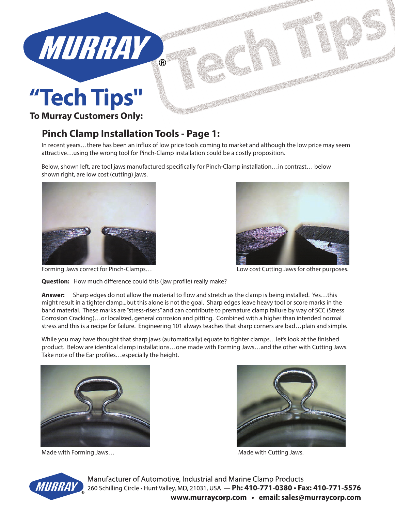

## "Tech Tips"

### **To Murray Customers Only:**

### **Pinch Clamp Installation Tools - Page 1:**

In recent years…there has been an influx of low price tools coming to market and although the low price may seem attractive…using the wrong tool for Pinch-Clamp installation could be a costly proposition.

Below, shown left, are tool jaws manufactured specifically for Pinch-Clamp installation…in contrast… below shown right, are low cost (cutting) jaws.





**Question:** How much difference could this (jaw profile) really make?

**Answer:** Sharp edges do not allow the material to flow and stretch as the clamp is being installed. Yes…this might result in a tighter clamp...but this alone is not the goal. Sharp edges leave heavy tool or score marks in the band material. These marks are "stress-risers" and can contribute to premature clamp failure by way of SCC (Stress Corrosion Cracking)…or localized, general corrosion and pitting. Combined with a higher than intended normal stress and this is a recipe for failure. Engineering 101 always teaches that sharp corners are bad…plain and simple.

While you may have thought that sharp jaws (automatically) equate to tighter clamps…let's look at the finished product. Below are identical clamp installations…one made with Forming Jaws…and the other with Cutting Jaws. Take note of the Ear profiles…especially the height.



Made with Forming Jaws... The contract of the Made with Cutting Jaws.





Manufacturer of Automotive, Industrial and Marine Clamp Products 260 Schilling Circle • Hunt Valley, MD, 21031, USA - Ph: 410-771-0380 • Fax: 410-771-5576 www.murraycorp.com • email: sales@murraycorp.com